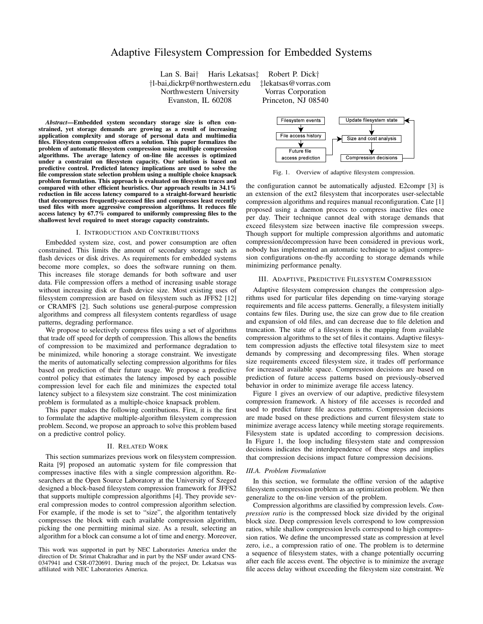# Adaptive Filesystem Compression for Embedded Systems

Lan S. Bai† Haris Lekatsas‡ Robert P. Dick† †l-bai,dickrp@northwestern.edu ‡lekatsas@vorras.com Northwestern University Vorras Corporation Evanston, IL 60208 Princeton, NJ 08540

*Abstract*—Embedded system secondary storage size is often constrained, yet storage demands are growing as a result of increasing application complexity and storage of personal data and multimedia files. Filesystem compression offers a solution. This paper formalizes the problem of automatic filesystem compression using multiple compression algorithms. The average latency of on-line file accesses is optimized under a constraint on filesystem capacity. Our solution is based on predictive control. Predicted latency implications are used to solve the file compression state selection problem using a multiple choice knapsack problem formulation. This approach is evaluated on filesystem traces and compared with other efficient heuristics. Our approach results in 34.1% reduction in file access latency compared to a straight-forward heuristic that decompresses frequently-accessed files and compresses least recently used files with more aggressive compression algorithms. It reduces file access latency by 67.7% compared to uniformly compressing files to the shallowest level required to meet storage capacity constraints.

### I. INTRODUCTION AND CONTRIBUTIONS

Embedded system size, cost, and power consumption are often constrained. This limits the amount of secondary storage such as flash devices or disk drives. As requirements for embedded systems become more complex, so does the software running on them. This increases file storage demands for both software and user data. File compression offers a method of increasing usable storage without increasing disk or flash device size. Most existing uses of filesystem compression are based on filesystem such as JFFS2 [12] or CRAMFS [2]. Such solutions use general-purpose compression algorithms and compress all filesystem contents regardless of usage patterns, degrading performance.

We propose to selectively compress files using a set of algorithms that trade off speed for depth of compression. This allows the benefits of compression to be maximized and performance degradation to be minimized, while honoring a storage constraint. We investigate the merits of automatically selecting compression algorithms for files based on prediction of their future usage. We propose a predictive control policy that estimates the latency imposed by each possible compression level for each file and minimizes the expected total latency subject to a filesystem size constraint. The cost minimization problem is formulated as a multiple-choice knapsack problem.

This paper makes the following contributions. First, it is the first to formulate the adaptive multiple-algorithm filesystem compression problem. Second, we propose an approach to solve this problem based on a predictive control policy.

#### II. RELATED WORK

This section summarizes previous work on filesystem compression. Raita [9] proposed an automatic system for file compression that compresses inactive files with a single compression algorithm. Researchers at the Open Source Laboratory at the University of Szeged designed a block-based filesystem compression framework for JFFS2 that supports multiple compression algorithms [4]. They provide several compression modes to control compression algorithm selection. For example, if the mode is set to "size", the algorithm tentatively compresses the block with each available compression algorithm, picking the one permitting minimal size. As a result, selecting an algorithm for a block can consume a lot of time and energy. Moreover,

This work was supported in part by NEC Laboratories America under the direction of Dr. Srimat Chakradhar and in part by the NSF under award CNS-0347941 and CSR-0720691. During much of the project, Dr. Lekatsas was affiliated with NEC Laboratories America.



Fig. 1. Overview of adaptive filesystem compression.

the configuration cannot be automatically adjusted. E2compr [3] is an extension of the ext2 filesystem that incorporates user-selectable compression algorithms and requires manual reconfiguration. Cate [1] proposed using a daemon process to compress inactive files once per day. Their technique cannot deal with storage demands that exceed filesystem size between inactive file compression sweeps. Though support for multiple compression algorithms and automatic compression/decompression have been considered in previous work, nobody has implemented an automatic technique to adjust compression configurations on-the-fly according to storage demands while minimizing performance penalty.

# III. ADAPTIVE, PREDICTIVE FILESYSTEM COMPRESSION

Adaptive filesystem compression changes the compression algorithms used for particular files depending on time-varying storage requirements and file access patterns. Generally, a filesystem initially contains few files. During use, the size can grow due to file creation and expansion of old files, and can decrease due to file deletion and truncation. The state of a filesystem is the mapping from available compression algorithms to the set of files it contains. Adaptive filesystem compression adjusts the effective total filesystem size to meet demands by compressing and decompressing files. When storage size requirements exceed filesystem size, it trades off performance for increased available space. Compression decisions are based on prediction of future access patterns based on previously-observed behavior in order to minimize average file access latency.

Figure 1 gives an overview of our adaptive, predictive filesystem compression framework. A history of file accesses is recorded and used to predict future file access patterns. Compression decisions are made based on these predictions and current filesystem state to minimize average access latency while meeting storage requirements. Filesystem state is updated according to compression decisions. In Figure 1, the loop including filesystem state and compression decisions indicates the interdependence of these steps and implies that compression decisions impact future compression decisions.

#### *III.A. Problem Formulation*

In this section, we formulate the offline version of the adaptive filesystem compression problem as an optimization problem. We then generalize to the on-line version of the problem.

Compression algorithms are classified by compression levels. *Compression ratio* is the compressed block size divided by the original block size. Deep compression levels correspond to low compression ratios, while shallow compression levels correspond to high compression ratios. We define the uncompressed state as compression at level zero, i.e., a compression ratio of one. The problem is to determine a sequence of filesystem states, with a change potentially occurring after each file access event. The objective is to minimize the average file access delay without exceeding the filesystem size constraint. We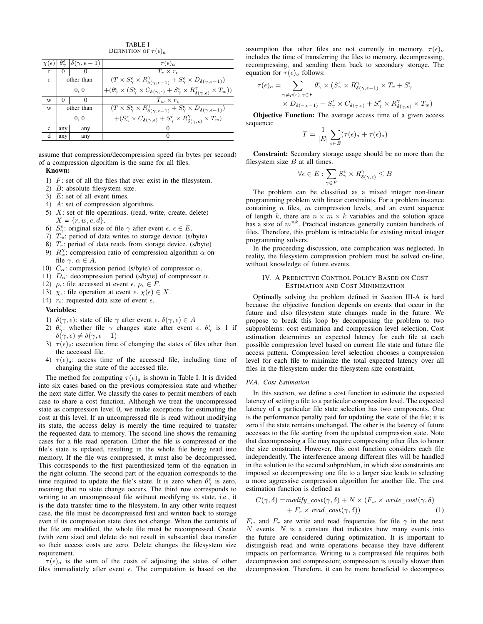TABLE I DEFINITION OF  $\tau(\epsilon)_a$ 

|              | $\theta_{\gamma}^{\epsilon}$ $\delta(\gamma, \epsilon - 1)$ |     | $\tau(\epsilon)_a$                                                                                                                                                         |
|--------------|-------------------------------------------------------------|-----|----------------------------------------------------------------------------------------------------------------------------------------------------------------------------|
| $\mathbf{r}$ | 0                                                           |     | $T_r \times r_{\epsilon}$                                                                                                                                                  |
| $\mathbf{r}$ | other than                                                  |     | $(T \times S_{\gamma}^{\epsilon} \times R_{\delta(\gamma,\epsilon-1)}^{\gamma} + S_{\gamma}^{\epsilon} \times D_{\delta(\gamma,\epsilon-1)})$                              |
|              | 0, 0                                                        |     | $+(\theta^{\epsilon}_{\gamma}\times (S^{\epsilon}_{\gamma}\times C_{\delta(\gamma,\epsilon)}+S^{\epsilon}_{\gamma}\times R^{\gamma}_{\delta(\gamma,\epsilon)}\times T_w))$ |
| W            | $\mathbf{\Omega}$                                           |     | $T_w \times r_{\epsilon}$                                                                                                                                                  |
| W            | other than                                                  |     | $(T\times S^\epsilon_\gamma \times R^\gamma_{\delta(\gamma,\epsilon-1)} + S^\epsilon_\gamma \times D_{\delta(\gamma,\epsilon-1)})$                                         |
|              | 0.0                                                         |     | $+(S_{\gamma}^{\epsilon} \times C_{\delta(\gamma,\epsilon)} + S_{\gamma}^{\epsilon} \times R_{\delta(\gamma,\epsilon)}^{\gamma} \times T_w)$                               |
| $\mathbf c$  | any                                                         | any |                                                                                                                                                                            |
| đ            | any                                                         | any |                                                                                                                                                                            |

assume that compression/decompression speed (in bytes per second) of a compression algorithm is the same for all files.

## Known:

- 1) F: set of all the files that ever exist in the filesystem.
- 2) B: absolute filesystem size.
- 3) E: set of all event times.
- 4) A: set of compression algorithms.
- 5)  $X$ : set of file operations. (read, write, create, delete)  $X = \{r, w, c, d\}.$
- 6)  $S_{\gamma}^{\epsilon}$ : original size of file  $\gamma$  after event  $\epsilon$ .  $\epsilon \in E$ .
- 7)  $T_w$ : period of data writes to storage device. (s/byte)
- 8)  $T_r$ : period of data reads from storage device. (s/byte)
- 9)  $R_{\alpha}^{\gamma}$ : compression ratio of compression algorithm  $\alpha$  on file  $\gamma$ .  $\alpha \in A$ .
- 10)  $C_{\alpha}$ : compression period (s/byte) of compressor  $\alpha$ .
- 11)  $D_{\alpha}$ : decompression period (s/byte) of compressor  $\alpha$ .
- 12)  $ρ_ε$ : file accessed at event  $ε$ .  $ρ_ε ∈ F$ .
- 13)  $\chi_{\epsilon}$ : file operation at event  $\epsilon$ .  $\chi(\epsilon) \in X$ .
- 14)  $r_{\epsilon}$ : requested data size of event  $\epsilon$ .

#### Variables:

- 1)  $\delta(\gamma, \epsilon)$ : state of file  $\gamma$  after event  $\epsilon$ .  $\delta(\gamma, \epsilon) \in A$
- 2)  $\theta_{\gamma}^{\epsilon}$ : whether file  $\gamma$  changes state after event  $\epsilon$ .  $\theta_{\gamma}^{\epsilon}$  is 1 if  $\delta(\gamma, \epsilon) \neq \delta(\gamma, \epsilon - 1)$
- 3)  $\tau(\epsilon)_o$ : execution time of changing the states of files other than the accessed file.
- 4)  $\tau(\epsilon)_a$ : access time of the accessed file, including time of changing the state of the accessed file.

The method for computing  $\tau(\epsilon)_a$  is shown in Table I. It is divided into six cases based on the previous compression state and whether the next state differ. We classify the cases to permit members of each case to share a cost function. Although we treat the uncompressed state as compression level 0, we make exceptions for estimating the cost at this level. If an uncompressed file is read without modifying its state, the access delay is merely the time required to transfer the requested data to memory. The second line shows the remaining cases for a file read operation. Either the file is compressed or the file's state is updated, resulting in the whole file being read into memory. If the file was compressed, it must also be decompressed. This corresponds to the first parenthesized term of the equation in the right column. The second part of the equation corresponds to the time required to update the file's state. It is zero when  $\theta_{\gamma}^{\epsilon}$  is zero, meaning that no state change occurs. The third row corresponds to writing to an uncompressed file without modifying its state, i.e., it is the data transfer time to the filesystem. In any other write request case, the file must be decompressed first and written back to storage even if its compression state does not change. When the contents of the file are modified, the whole file must be recompressed. Create (with zero size) and delete do not result in substantial data transfer so their access costs are zero. Delete changes the filesystem size requirement.

 $\tau(\epsilon)$ <sub>o</sub> is the sum of the costs of adjusting the states of other files immediately after event  $\epsilon$ . The computation is based on the

assumption that other files are not currently in memory.  $\tau(\epsilon)_{o}$ includes the time of transferring the files to memory, decompressing, recompressing, and sending them back to secondary storage. The equation for  $\tau(\epsilon)$ <sub>o</sub> follows:

$$
\tau(\epsilon)_{o} = \sum_{\gamma \neq \rho(\epsilon), \gamma \in F} \theta_{\gamma}^{\epsilon} \times (S_{\gamma}^{\epsilon} \times R_{\delta(\gamma, \epsilon-1)}^{\gamma} \times T_{r} + S_{\gamma}^{\epsilon} \times D_{\delta(\gamma, \epsilon-1)} + S_{\gamma}^{\epsilon} \times C_{\delta(\gamma, \epsilon)} + S_{\gamma}^{\epsilon} \times R_{\delta(\gamma, \epsilon)}^{\gamma} \times T_{w})
$$

Objective Function: The average access time of a given access sequence:

$$
T = \frac{1}{|E|} \sum_{\epsilon \in E} (\tau(\epsilon)_a + \tau(\epsilon)_o)
$$

Constraint: Secondary storage usage should be no more than the filesystem size  $B$  at all times.

$$
\forall \epsilon \in E : \sum_{\gamma \in F} S_{\gamma}^{\epsilon} \times R_{\delta(\gamma, \epsilon)}^{\gamma} \le B
$$

The problem can be classified as a mixed integer non-linear programming problem with linear constraints. For a problem instance containing  $n$  files,  $m$  compression levels, and an event sequence of length k, there are  $n \times m \times k$  variables and the solution space has a size of  $m^{nk}$ . Practical instances generally contain hundreds of files. Therefore, this problem is intractable for existing mixed integer programming solvers.

In the proceeding discussion, one complication was neglected. In reality, the filesystem compression problem must be solved on-line, without knowledge of future events.

## IV. A PREDICTIVE CONTROL POLICY BASED ON COST ESTIMATION AND COST MINIMIZATION

Optimally solving the problem defined in Section III-A is hard because the objective function depends on events that occur in the future and also filesystem state changes made in the future. We propose to break this loop by decomposing the problem to two subproblems: cost estimation and compression level selection. Cost estimation determines an expected latency for each file at each possible compression level based on current file state and future file access pattern. Compression level selection chooses a compression level for each file to minimize the total expected latency over all files in the filesystem under the filesystem size constraint.

# *IV.A. Cost Estimation*

In this section, we define a cost function to estimate the expected latency of setting a file to a particular compression level. The expected latency of a particular file state selection has two components. One is the performance penalty paid for updating the state of the file; it is zero if the state remains unchanged. The other is the latency of future accesses to the file starting from the updated compression state. Note that decompressing a file may require compressing other files to honor the size constraint. However, this cost function considers each file independently. The interference among different files will be handled in the solution to the second subproblem, in which size constraints are imposed so decompressing one file to a larger size leads to selecting a more aggressive compression algorithm for another file. The cost estimation function is defined as

$$
C(\gamma, \delta) = \text{modify\_cost}(\gamma, \delta) + N \times (F_w \times \text{write\_cost}(\gamma, \delta) + F_r \times \text{read\_cost}(\gamma, \delta))
$$
(1)

 $F_w$  and  $F_r$  are write and read frequencies for file  $\gamma$  in the next  $N$  events.  $N$  is a constant that indicates how many events into the future are considered during optimization. It is important to distinguish read and write operations because they have different impacts on performance. Writing to a compressed file requires both decompression and compression; compression is usually slower than decompression. Therefore, it can be more beneficial to decompress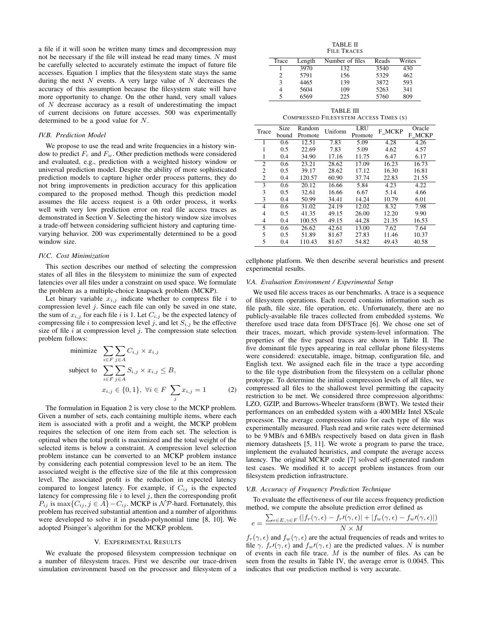a file if it will soon be written many times and decompression may not be necessary if the file will instead be read many times. N must be carefully selected to accurately estimate the impact of future file accesses. Equation 1 implies that the filesystem state stays the same during the next  $N$  events. A very large value of  $N$  decreases the accuracy of this assumption because the filesystem state will have more opportunity to change. On the other hand, very small values of  $N$  decrease accuracy as a result of underestimating the impact of current decisions on future accesses. 500 was experimentally determined to be a good value for N.

#### *IV.B. Prediction Model*

We propose to use the read and write frequencies in a history window to predict  $F_r$  and  $F_w$ . Other prediction methods were considered and evaluated, e.g., prediction with a weighted history window or universal prediction model. Despite the ability of more sophisticated prediction models to capture higher order process patterns, they do not bring improvements in prediction accuracy for this application compared to the proposed method. Though this prediction model assumes the file access request is a 0th order process, it works well with very low prediction error on real file access traces as demonstrated in Section V. Selecting the history window size involves a trade-off between considering sufficient history and capturing timevarying behavior. 200 was experimentally determined to be a good window size.

# *IV.C. Cost Minimization*

This section describes our method of selecting the compression states of all files in the filesystem to minimize the sum of expected latencies over all files under a constraint on used space. We formulate the problem as a multiple-choice knapsack problem (MCKP).

Let binary variable  $x_{i,j}$  indicate whether to compress file i to compression level  $j$ . Since each file can only be saved in one state, the sum of  $x_{i,j}$  for each file i is 1. Let  $C_{i,j}$  be the expected latency of compressing file i to compression level j, and let  $S_{i,j}$  be the effective size of file  $i$  at compression level  $j$ . The compression state selection problem follows:

minimize 
$$
\sum_{i \in F} \sum_{j \in A} C_{i,j} \times x_{i,j}
$$
  
subject to 
$$
\sum_{i \in F} \sum_{j \in A} S_{i,j} \times x_{i,j} \leq B,
$$

$$
x_{i,j} \in \{0,1\}, \ \forall i \in F \ \sum_{j} x_{i,j} = 1
$$
 (2)

The formulation in Equation 2 is very close to the MCKP problem. Given a number of sets, each containing multiple items, where each item is associated with a profit and a weight, the MCKP problem requires the selection of one item from each set. The selection is optimal when the total profit is maximized and the total weight of the selected items is below a constraint. A compression level selection problem instance can be converted to an MCKP problem instance by considering each potential compression level to be an item. The associated weight is the effective size of the file at this compression level. The associated profit is the reduction in expected latency compared to longest latency. For example, if  $C_{ij}$  is the expected latency for compressing file  $i$  to level  $j$ , then the corresponding profit  $P_{ij}$  is max $\{C_{ij}, j \in A\} - C_{ij}$ . MCKP is  $N \mathcal{P}$ -hard. Fortunately, this problem has received substantial attention and a number of algorithms were developed to solve it in pseudo-polynomial time [8, 10]. We adopted Pisinger's algorithm for the MCKP problem.

#### V. EXPERIMENTAL RESULTS

We evaluate the proposed filesystem compression technique on a number of filesystem traces. First we describe our trace-driven simulation environment based on the processor and filesystem of a

|       |        | TABLE II<br><b>FILE TRACES</b> |       |        |
|-------|--------|--------------------------------|-------|--------|
| Trace | Length | Number of files                | Reads | Writes |
|       | 3970   | 132                            | 3540  | 430    |
| 2     | 5791   | 156                            | 5329  | 462    |
| 3     | 4465   | 139                            | 3872  | 593    |
|       | 5604   | 109                            | 5263  | 341    |
| 5     | 6569   | 225                            | 5760  | 809    |

TABLE II

TABLE III COMPRESSED FILESYSTEM ACCESS TIMES (S)

| Trace          | Size  | Random  | Uniform | LRU     | F MCKP | Oracle |
|----------------|-------|---------|---------|---------|--------|--------|
|                | bound | Promote |         | Promote |        | F MCKP |
|                | 0.6   | 12.51   | 7.83    | 5.09    | 4.28   | 4.26   |
| 1              | 0.5   | 22.69   | 7.83    | 5.09    | 4.62   | 4.57   |
| 1              | 0.4   | 34.90   | 17.16   | 11.75   | 6.47   | 6.17   |
| 2              | 0.6   | 23.21   | 28.62   | 17.09   | 16.23  | 16.73  |
| 2              | 0.5   | 39.17   | 28.62   | 17.12   | 16.30  | 16.81  |
| 2              | 0.4   | 120.57  | 60.90   | 37.74   | 22.83  | 21.55  |
| 3              | 0.6   | 20.12   | 16.66   | 5.84    | 4.23   | 4.22   |
| 3              | 0.5   | 32.61   | 16.66   | 6.67    | 5.14   | 4.66   |
| 3              | 0.4   | 50.99   | 34.41   | 14.24   | 10.79  | 6.01   |
| $\overline{4}$ | 0.6   | 31.02   | 24.19   | 12.02   | 8.32   | 7.98   |
| $\overline{4}$ | 0.5   | 41.35   | 49.15   | 26.00   | 12.20  | 9.90   |
| 4              | 0.4   | 100.55  | 49.15   | 44.28   | 21.35  | 16.53  |
| 5              | 0.6   | 26.62   | 42.61   | 13.00   | 7.62   | 7.64   |
| 5              | 0.5   | 51.89   | 81.67   | 27.83   | 11.46  | 10.37  |
| 5              | 0.4   | 110.43  | 81.67   | 54.82   | 49.43  | 40.58  |

cellphone platform. We then describe several heuristics and present experimental results.

#### *V.A. Evaluation Environment / Experimental Setup*

We used file access traces as our benchmarks. A trace is a sequence of filesystem operations. Each record contains information such as file path, file size, file operation, etc. Unfortunately, there are no publicly-available file traces collected from embedded systems. We therefore used trace data from DFSTrace [6]. We chose one set of their traces, mozart, which provide system-level information. The properties of the five parsed traces are shown in Table II. The five dominant file types appearing in real cellular phone filesystems were considered: executable, image, bitmap, configuration file, and English text. We assigned each file in the trace a type according to the file type distribution from the filesystem on a cellular phone prototype. To determine the initial compression levels of all files, we compressed all files to the shallowest level permitting the capacity restriction to be met. We considered three compression algorithms: LZO, GZIP, and Burrows-Wheeler transform (BWT). We tested their performances on an embedded system with a 400 MHz Intel XScale processor. The average compression ratio for each type of file was experimentally measured. Flash read and write rates were determined to be 9 MB/s and 6 MB/s respectively based on data given in flash memory datasheets [5, 11]. We wrote a program to parse the trace, implement the evaluated heuristics, and compute the average access latency. The original MCKP code [7] solved self-generated random test cases. We modified it to accept problem instances from our filesystem prediction infrastructure.

## *V.B. Accuracy of Frequency Prediction Technique*

To evaluate the effectiveness of our file access frequency prediction method, we compute the absolute prediction error defined as

$$
e = \frac{\sum_{\epsilon \in E, \gamma \in F} (|f_r(\gamma, \epsilon) - f_r \prime(\gamma, \epsilon)| + |f_w(\gamma, \epsilon) - f_w \prime(\gamma, \epsilon)|)}{N \times M}
$$

 $f_r(\gamma, \epsilon)$  and  $f_w(\gamma, \epsilon)$  are the actual frequencies of reads and writes to file  $\gamma$ .  $f_r'(\gamma, \epsilon)$  and  $f_w'(\gamma, \epsilon)$  are the predicted values. N is number of events in each file trace. M is the number of files. As can be seen from the results in Table IV, the average error is 0.0045. This indicates that our prediction method is very accurate.